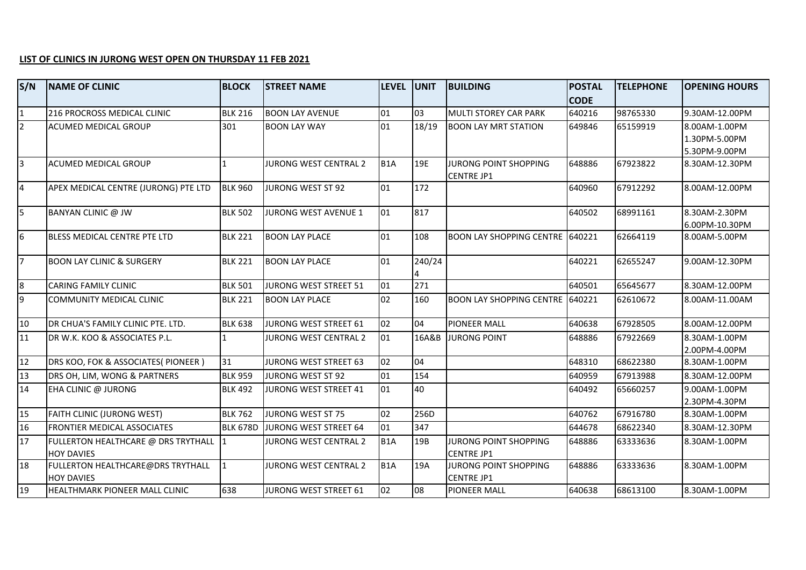## **LIST OF CLINICS IN JURONG WEST OPEN ON THURSDAY 11 FEB 2021**

| S/N             | <b>NAME OF CLINIC</b>                                    | <b>BLOCK</b>    | <b>STREET NAME</b>           | <b>LEVEL</b>     | <b>UNIT</b> | <b>BUILDING</b>                                   | <b>POSTAL</b> | <b>TELEPHONE</b> | <b>OPENING HOURS</b> |
|-----------------|----------------------------------------------------------|-----------------|------------------------------|------------------|-------------|---------------------------------------------------|---------------|------------------|----------------------|
|                 |                                                          |                 |                              |                  |             |                                                   | <b>CODE</b>   |                  |                      |
| $\mathbf{1}$    | 216 PROCROSS MEDICAL CLINIC                              | <b>BLK 216</b>  | <b>BOON LAY AVENUE</b>       | 01               | 03          | MULTI STOREY CAR PARK                             | 640216        | 98765330         | 9.30AM-12.00PM       |
| $\overline{2}$  | <b>ACUMED MEDICAL GROUP</b>                              | 301             | <b>BOON LAY WAY</b>          | 01               | 18/19       | <b>BOON LAY MRT STATION</b>                       | 649846        | 65159919         | 8.00AM-1.00PM        |
|                 |                                                          |                 |                              |                  |             |                                                   |               |                  | 1.30PM-5.00PM        |
|                 |                                                          |                 |                              |                  |             |                                                   |               |                  | 5.30PM-9.00PM        |
| $\overline{3}$  | ACUMED MEDICAL GROUP                                     | 1               | JURONG WEST CENTRAL 2        | B <sub>1</sub> A | 19E         | <b>JURONG POINT SHOPPING</b><br><b>CENTRE JP1</b> | 648886        | 67923822         | 8.30AM-12.30PM       |
| $\overline{4}$  | APEX MEDICAL CENTRE (JURONG) PTE LTD                     | <b>BLK 960</b>  | JURONG WEST ST 92            | 01               | 172         |                                                   | 640960        | 67912292         | 8.00AM-12.00PM       |
| $\overline{5}$  | BANYAN CLINIC @ JW                                       | <b>BLK 502</b>  | JURONG WEST AVENUE 1         | 01               | 817         |                                                   | 640502        | 68991161         | 8.30AM-2.30PM        |
|                 |                                                          |                 |                              |                  |             |                                                   |               |                  | 6.00PM-10.30PM       |
| $6\overline{6}$ | BLESS MEDICAL CENTRE PTE LTD                             | <b>BLK 221</b>  | <b>BOON LAY PLACE</b>        | 01               | 108         | <b>BOON LAY SHOPPING CENTRE 640221</b>            |               | 62664119         | 8.00AM-5.00PM        |
| $\overline{7}$  | <b>BOON LAY CLINIC &amp; SURGERY</b>                     | <b>BLK 221</b>  | <b>BOON LAY PLACE</b>        | 01               | 240/24      |                                                   | 640221        | 62655247         | 9.00AM-12.30PM       |
| 8               | <b>CARING FAMILY CLINIC</b>                              | <b>BLK 501</b>  | JURONG WEST STREET 51        | 01               | 271         |                                                   | 640501        | 65645677         | 8.30AM-12.00PM       |
| $\overline{9}$  | COMMUNITY MEDICAL CLINIC                                 | <b>BLK 221</b>  | <b>BOON LAY PLACE</b>        | 02               | 160         | <b>BOON LAY SHOPPING CENTRE</b>                   | 640221        | 62610672         | 8.00AM-11.00AM       |
| 10              | DR CHUA'S FAMILY CLINIC PTE. LTD.                        | <b>BLK 638</b>  | JURONG WEST STREET 61        | 02               | 04          | PIONEER MALL                                      | 640638        | 67928505         | 8.00AM-12.00PM       |
| 11              | DR W.K. KOO & ASSOCIATES P.L.                            |                 | JURONG WEST CENTRAL 2        | 01               | 16A&B       | <b>JURONG POINT</b>                               | 648886        | 67922669         | 8.30AM-1.00PM        |
|                 |                                                          |                 |                              |                  |             |                                                   |               |                  | 2.00PM-4.00PM        |
| 12              | DRS KOO, FOK & ASSOCIATES( PIONEER )                     | 31              | <b>JURONG WEST STREET 63</b> | 02               | 04          |                                                   | 648310        | 68622380         | 8.30AM-1.00PM        |
| 13              | DRS OH, LIM, WONG & PARTNERS                             | <b>BLK 959</b>  | JURONG WEST ST 92            | 01               | 154         |                                                   | 640959        | 67913988         | 8.30AM-12.00PM       |
| 14              | EHA CLINIC @ JURONG                                      | <b>BLK 492</b>  | <b>JURONG WEST STREET 41</b> | 01               | 40          |                                                   | 640492        | 65660257         | 9.00AM-1.00PM        |
|                 |                                                          |                 |                              |                  |             |                                                   |               |                  | 2.30PM-4.30PM        |
| 15              | FAITH CLINIC (JURONG WEST)                               | <b>BLK 762</b>  | <b>JURONG WEST ST 75</b>     | 02               | 256D        |                                                   | 640762        | 67916780         | 8.30AM-1.00PM        |
| 16              | <b>FRONTIER MEDICAL ASSOCIATES</b>                       | <b>BLK 678D</b> | JURONG WEST STREET 64        | 01               | 347         |                                                   | 644678        | 68622340         | 8.30AM-12.30PM       |
| 17              | FULLERTON HEALTHCARE @ DRS TRYTHALL<br><b>HOY DAVIES</b> |                 | <b>JURONG WEST CENTRAL 2</b> | B <sub>1</sub> A | 19B         | <b>JURONG POINT SHOPPING</b><br><b>CENTRE JP1</b> | 648886        | 63333636         | 8.30AM-1.00PM        |
| 18              | FULLERTON HEALTHCARE@DRS TRYTHALL<br><b>HOY DAVIES</b>   | 1               | JURONG WEST CENTRAL 2        | B <sub>1</sub> A | 19A         | JURONG POINT SHOPPING<br>CENTRE JP1               | 648886        | 63333636         | 8.30AM-1.00PM        |
| 19              | HEALTHMARK PIONEER MALL CLINIC                           | 638             | JURONG WEST STREET 61        | 02               | 08          | PIONEER MALL                                      | 640638        | 68613100         | 8.30AM-1.00PM        |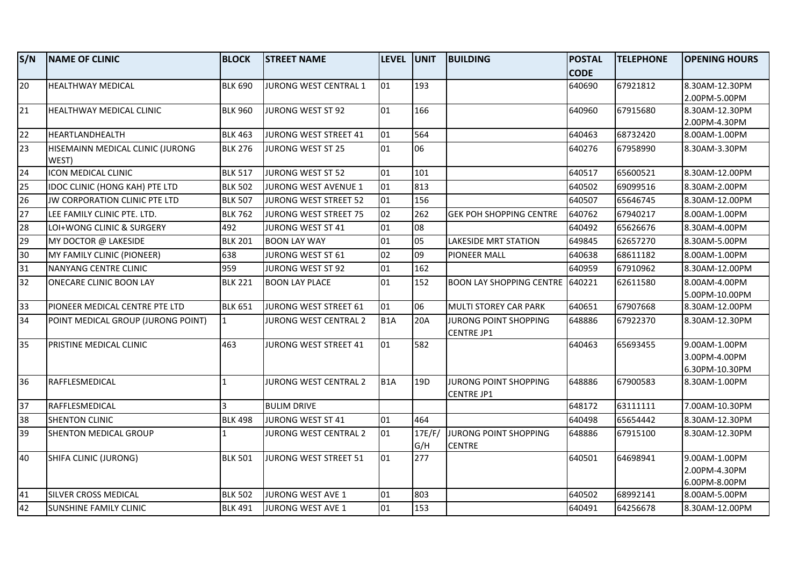| S/N | <b>NAME OF CLINIC</b>                     | <b>BLOCK</b>   | <b>STREET NAME</b>           | <b>LEVEL</b>     | <b>UNIT</b>     | <b>BUILDING</b>                            | <b>POSTAL</b> | <b>TELEPHONE</b> | <b>OPENING HOURS</b> |
|-----|-------------------------------------------|----------------|------------------------------|------------------|-----------------|--------------------------------------------|---------------|------------------|----------------------|
|     |                                           |                |                              |                  |                 |                                            | <b>CODE</b>   |                  |                      |
| 20  | <b>HEALTHWAY MEDICAL</b>                  | <b>BLK 690</b> | JURONG WEST CENTRAL 1        | 01               | 193             |                                            | 640690        | 67921812         | 8.30AM-12.30PM       |
|     |                                           |                |                              |                  |                 |                                            |               |                  | 2.00PM-5.00PM        |
| 21  | HEALTHWAY MEDICAL CLINIC                  | <b>BLK 960</b> | <b>JURONG WEST ST 92</b>     | 01               | 166             |                                            | 640960        | 67915680         | 8.30AM-12.30PM       |
|     |                                           |                |                              |                  |                 |                                            |               |                  | 2.00PM-4.30PM        |
| 22  | HEARTLANDHEALTH                           | <b>BLK 463</b> | JURONG WEST STREET 41        | 01               | 564             |                                            | 640463        | 68732420         | 8.00AM-1.00PM        |
| 23  | HISEMAINN MEDICAL CLINIC (JURONG<br>WEST) | <b>BLK 276</b> | <b>JURONG WEST ST 25</b>     | 01               | 06              |                                            | 640276        | 67958990         | 8.30AM-3.30PM        |
| 24  | ICON MEDICAL CLINIC                       | <b>BLK 517</b> | <b>JURONG WEST ST 52</b>     | 01               | 101             |                                            | 640517        | 65600521         | 8.30AM-12.00PM       |
| 25  | <b>IDOC CLINIC (HONG KAH) PTE LTD</b>     | <b>BLK 502</b> | <b>JURONG WEST AVENUE 1</b>  | 01               | 813             |                                            | 640502        | 69099516         | 8.30AM-2.00PM        |
| 26  | JW CORPORATION CLINIC PTE LTD             | <b>BLK 507</b> | JURONG WEST STREET 52        | 01               | 156             |                                            | 640507        | 65646745         | 8.30AM-12.00PM       |
| 27  | LEE FAMILY CLINIC PTE. LTD.               | <b>BLK 762</b> | <b>JURONG WEST STREET 75</b> | 02               | 262             | <b>GEK POH SHOPPING CENTRE</b>             | 640762        | 67940217         | 8.00AM-1.00PM        |
| 28  | LOI+WONG CLINIC & SURGERY                 | 492            | <b>JURONG WEST ST 41</b>     | 01               | 08              |                                            | 640492        | 65626676         | 8.30AM-4.00PM        |
| 29  | MY DOCTOR @ LAKESIDE                      | <b>BLK 201</b> | <b>BOON LAY WAY</b>          | 01               | 05              | <b>LAKESIDE MRT STATION</b>                | 649845        | 62657270         | 8.30AM-5.00PM        |
| 30  | MY FAMILY CLINIC (PIONEER)                | 638            | JURONG WEST ST 61            | 02               | 09              | <b>PIONEER MALL</b>                        | 640638        | 68611182         | 8.00AM-1.00PM        |
| 31  | NANYANG CENTRE CLINIC                     | 959            | JURONG WEST ST 92            | 01               | 162             |                                            | 640959        | 67910962         | 8.30AM-12.00PM       |
| 32  | ONECARE CLINIC BOON LAY                   | <b>BLK 221</b> | <b>BOON LAY PLACE</b>        | 01               | 152             | <b>BOON LAY SHOPPING CENTRE 640221</b>     |               | 62611580         | 8.00AM-4.00PM        |
|     |                                           |                |                              |                  |                 |                                            |               |                  | 5.00PM-10.00PM       |
| 33  | PIONEER MEDICAL CENTRE PTE LTD            | <b>BLK 651</b> | JURONG WEST STREET 61        | 01               | 06              | MULTI STOREY CAR PARK                      | 640651        | 67907668         | 8.30AM-12.00PM       |
| 34  | POINT MEDICAL GROUP (JURONG POINT)        | $\mathbf{1}$   | JURONG WEST CENTRAL 2        | B <sub>1</sub> A | 20A             | JURONG POINT SHOPPING<br><b>CENTRE JP1</b> | 648886        | 67922370         | 8.30AM-12.30PM       |
| 35  | <b>PRISTINE MEDICAL CLINIC</b>            | 463            | JURONG WEST STREET 41        | 01               | 582             |                                            | 640463        | 65693455         | 9.00AM-1.00PM        |
|     |                                           |                |                              |                  |                 |                                            |               |                  | 3.00PM-4.00PM        |
|     |                                           |                |                              |                  |                 |                                            |               |                  | 6.30PM-10.30PM       |
| 36  | RAFFLESMEDICAL                            | 1              | JURONG WEST CENTRAL 2        | B <sub>1</sub> A | 19 <sub>D</sub> | <b>JURONG POINT SHOPPING</b>               | 648886        | 67900583         | 8.30AM-1.00PM        |
| 37  | RAFFLESMEDICAL                            | $\mathbf{a}$   | <b>BULIM DRIVE</b>           |                  |                 | <b>CENTRE JP1</b>                          | 648172        | 63111111         | 7.00AM-10.30PM       |
| 38  |                                           |                |                              |                  | 464             |                                            | 640498        |                  |                      |
|     | <b>SHENTON CLINIC</b>                     | <b>BLK 498</b> | JURONG WEST ST 41            | 01               |                 |                                            |               | 65654442         | 8.30AM-12.30PM       |
| 39  | SHENTON MEDICAL GROUP                     |                | JURONG WEST CENTRAL 2        | 01               | 17E/F/          | JURONG POINT SHOPPING<br><b>CENTRE</b>     | 648886        | 67915100         | 8.30AM-12.30PM       |
| 40  | SHIFA CLINIC (JURONG)                     | <b>BLK 501</b> | <b>JURONG WEST STREET 51</b> | 01               | G/H<br>277      |                                            | 640501        | 64698941         | 9.00AM-1.00PM        |
|     |                                           |                |                              |                  |                 |                                            |               |                  | 2.00PM-4.30PM        |
|     |                                           |                |                              |                  |                 |                                            |               |                  | 6.00PM-8.00PM        |
| 41  | <b>SILVER CROSS MEDICAL</b>               | <b>BLK 502</b> | <b>JURONG WEST AVE 1</b>     | 01               | 803             |                                            | 640502        | 68992141         | 8.00AM-5.00PM        |
| 42  | <b>SUNSHINE FAMILY CLINIC</b>             | <b>BLK 491</b> | JURONG WEST AVE 1            | 01               | 153             |                                            | 640491        | 64256678         | 8.30AM-12.00PM       |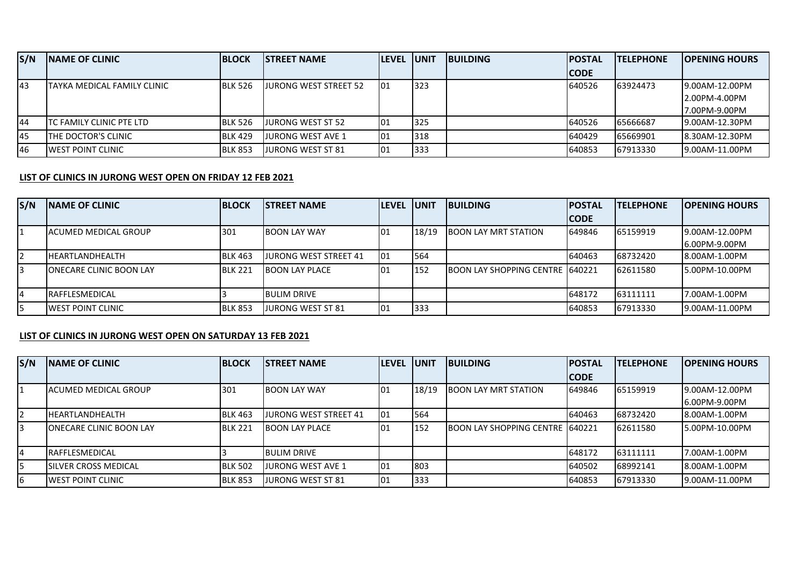| S/N       | <b>INAME OF CLINIC</b>       | <b>BLOCK</b>   | <b>ISTREET NAME</b>          | <b>LEVEL UNIT</b> |     | <b>BUILDING</b> | <b>IPOSTAL</b> | <b>ITELEPHONE</b> | <b>IOPENING HOURS</b> |
|-----------|------------------------------|----------------|------------------------------|-------------------|-----|-----------------|----------------|-------------------|-----------------------|
|           |                              |                |                              |                   |     |                 | <b>CODE</b>    |                   |                       |
| 43        | ITAYKA MEDICAL FAMILY CLINIC | <b>BLK 526</b> | <b>JURONG WEST STREET 52</b> | 01                | 323 |                 | 640526         | 63924473          | 9.00AM-12.00PM        |
|           |                              |                |                              |                   |     |                 |                |                   | 12.00PM-4.00PM        |
|           |                              |                |                              |                   |     |                 |                |                   | 7.00PM-9.00PM         |
| 44        | TC FAMILY CLINIC PTE LTD     | <b>BLK 526</b> | LIURONG WEST ST 52           | 01                | 325 |                 | 640526         | 65666687          | 19.00AM-12.30PM       |
| <b>45</b> | <b>ITHE DOCTOR'S CLINIC</b>  | <b>BLK 429</b> | LIURONG WEST AVE 1           | 01                | 318 |                 | 640429         | 65669901          | 8.30AM-12.30PM        |
| 46        | <b>LWEST POINT CLINIC</b>    | <b>BLK 853</b> | LIURONG WEST ST 81           | 01                | 333 |                 | 640853         | 67913330          | 9.00AM-11.00PM        |

## **LIST OF CLINICS IN JURONG WEST OPEN ON FRIDAY 12 FEB 2021**

| S/N            | <b>INAME OF CLINIC</b>          | <b>IBLOCK</b>  | <b>ISTREET NAME</b>          | <b>LEVEL UNIT</b> |       | <b>IBUILDING</b>                        | <b>IPOSTAL</b> | <b>ITELEPHONE</b> | <b>IOPENING HOURS</b> |
|----------------|---------------------------------|----------------|------------------------------|-------------------|-------|-----------------------------------------|----------------|-------------------|-----------------------|
|                |                                 |                |                              |                   |       |                                         | <b>ICODE</b>   |                   |                       |
|                | IACUMED MEDICAL GROUP           | 301            | <b>IBOON LAY WAY</b>         | 101               | 18/19 | <b>BOON LAY MRT STATION</b>             | 649846         | 65159919          | 9.00AM-12.00PM        |
|                |                                 |                |                              |                   |       |                                         |                |                   | 6.00PM-9.00PM         |
| $\overline{2}$ | <b>IHEARTLANDHEALTH</b>         | <b>BLK 463</b> | <b>JURONG WEST STREET 41</b> | 101               | 564   |                                         | 640463         | 68732420          | 8.00AM-1.00PM         |
| 3              | <b>IONECARE CLINIC BOON LAY</b> | <b>BLK 221</b> | <b>BOON LAY PLACE</b>        | 101               | 152   | <b>BOON LAY SHOPPING CENTRE 1640221</b> |                | 62611580          | 15.00PM-10.00PM       |
|                |                                 |                |                              |                   |       |                                         |                |                   |                       |
| 4              | <b>RAFFLESMEDICAL</b>           |                | <b>BULIM DRIVE</b>           |                   |       |                                         | 648172         | 63111111          | 7.00AM-1.00PM         |
| 15.            | <b>IWEST POINT CLINIC</b>       | <b>BLK 853</b> | JURONG WEST ST 81            | 01                | 333   |                                         | 640853         | 67913330          | 9.00AM-11.00PM        |

## **LIST OF CLINICS IN JURONG WEST OPEN ON SATURDAY 13 FEB 2021**

| S/N | <b>INAME OF CLINIC</b>          | <b>BLOCK</b>   | <b>ISTREET NAME</b>    | <b>ILEVEL</b> | <b>IUNIT</b> | <b>IBUILDING</b>                 | <b>IPOSTAL</b> | <b>TELEPHONE</b> | <b>IOPENING HOURS</b> |
|-----|---------------------------------|----------------|------------------------|---------------|--------------|----------------------------------|----------------|------------------|-----------------------|
|     |                                 |                |                        |               |              |                                  | <b>CODE</b>    |                  |                       |
|     | IACUMED MEDICAL GROUP           | 1301           | <b>IBOON LAY WAY</b>   | 101           | 18/19        | <b>BOON LAY MRT STATION</b>      | 649846         | 65159919         | 9.00AM-12.00PM        |
|     |                                 |                |                        |               |              |                                  |                |                  | 6.00PM-9.00PM         |
|     | IHEARTLANDHEALTH                | <b>BLK 463</b> | JURONG WEST STREET 41  | 101           | 564          |                                  | 640463         | 68732420         | 8.00AM-1.00PM         |
|     | <b>IONECARE CLINIC BOON LAY</b> | <b>BLK 221</b> | <b>IBOON LAY PLACE</b> | 101           | 152          | BOON LAY SHOPPING CENTRE 1640221 |                | 62611580         | 5.00PM-10.00PM        |
|     |                                 |                |                        |               |              |                                  |                |                  |                       |
|     | <b>IRAFFLESMEDICAL</b>          |                | <b>BULIM DRIVE</b>     |               |              |                                  | 648172         | 63111111         | 7.00AM-1.00PM         |
|     | ISILVER CROSS MEDICAL           | <b>BLK 502</b> | JURONG WEST AVE 1      | 101           | 803          |                                  | 640502         | 68992141         | 8.00AM-1.00PM         |
| 6   | <b>IWEST POINT CLINIC</b>       | <b>BLK 853</b> | JURONG WEST ST 81      | 01            | 333          |                                  | 640853         | 67913330         | 19.00AM-11.00PM       |